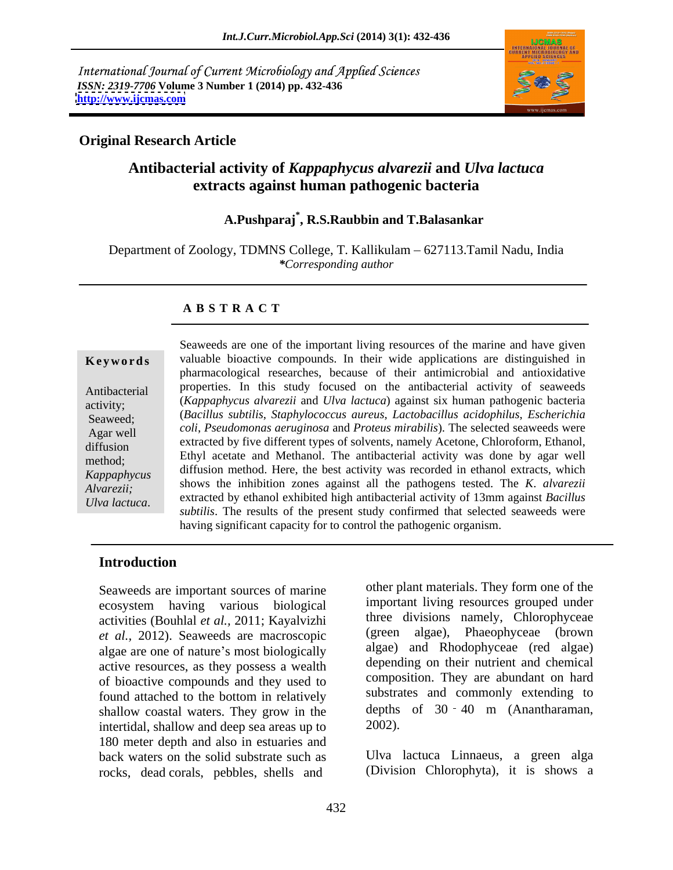International Journal of Current Microbiology and Applied Sciences *ISSN: 2319-7706* **Volume 3 Number 1 (2014) pp. 432-436 <http://www.ijcmas.com>**



### **Original Research Article**

# **Antibacterial activity of** *Kappaphycus alvarezii* **and** *Ulva lactuca* **extracts against human pathogenic bacteria**

# **A.Pushparaj\* , R.S.Raubbin and T.Balasankar**

Department of Zoology, TDMNS College, T. Kallikulam – 627113.Tamil Nadu, India *\*Corresponding author*

#### **A B S T R A C T**

**Keywords** valuable bioactive compounds. In their wide applications are distinguished in Antibacterial properties. In this study focused on the antibacterial activity of seaweeds activity; (*Kappaphycus alvarezii* and *Ulva lactuca*) against six human pathogenic bacteria Seaweed; (*Bacillus subtilis*, *Staphylococcus aureus*, *Lactobacillus acidophilus*, *Escherichia*  Agar well coli, *Pseudomonas aeruginosa* and *Proteus mirabilis*). The selected seaweeds were extracted by five different types of solvents, namely Acetone, Chloroform, Ethanol, method; Ethyl acetate and Methanol. The antibacterial activity was done by agar well *Kappaphycus* shows the inhibition zones against all the pathogens tested. The *K*. *alvarezii Alvarezii;* extracted by ethanol exhibited high antibacterial activity of 13mm against *Bacillus*  **Exertial Seaweeds** are one of the important living resources of the marine and have given<br>
valuable bioactive compounds. In their wide applications are distinguished in<br>
pharmacological researches, because of their antimi pharmacological researches, because of their antimicrobial and antioxidative diffusion method. Here, the best activity was recorded in ethanol extracts, which *subtilis*. The results of the present study confirmed that selected seaweeds were having significant capacity for to control the pathogenic organism.

#### **Introduction**

Seaweeds are important sources of marine ecosystem having various biological activities (Bouhlal *et al.,* 2011; Kayalvizhi *et al.,* 2012). Seaweeds are macroscopic algae are one of nature's most biologically active resources, as they possess a wealth of bioactive compounds and they used to found attached to the bottom in relatively shallow coastal waters. They grow in the depths<br>intertidal shallow and deep sea areas up to 2002). intertidal, shallow and deep sea areas up to 180 meter depth and also in estuaries and back waters on the solid substrate such as rocks, dead corals, pebbles, shells and

other plant materials. They form one of the important living resources grouped under three divisions namely, Chlorophyceae algae), Phaeophyceae (brown algae) and Rhodophyceae (red algae) depending on their nutrient and chemical composition. They are abundant on hard substrates and commonly extending to depths of 30 - 40 m (Anantharaman, 2002).

Ulva lactuca Linnaeus, a green alga (Division Chlorophyta), it is shows a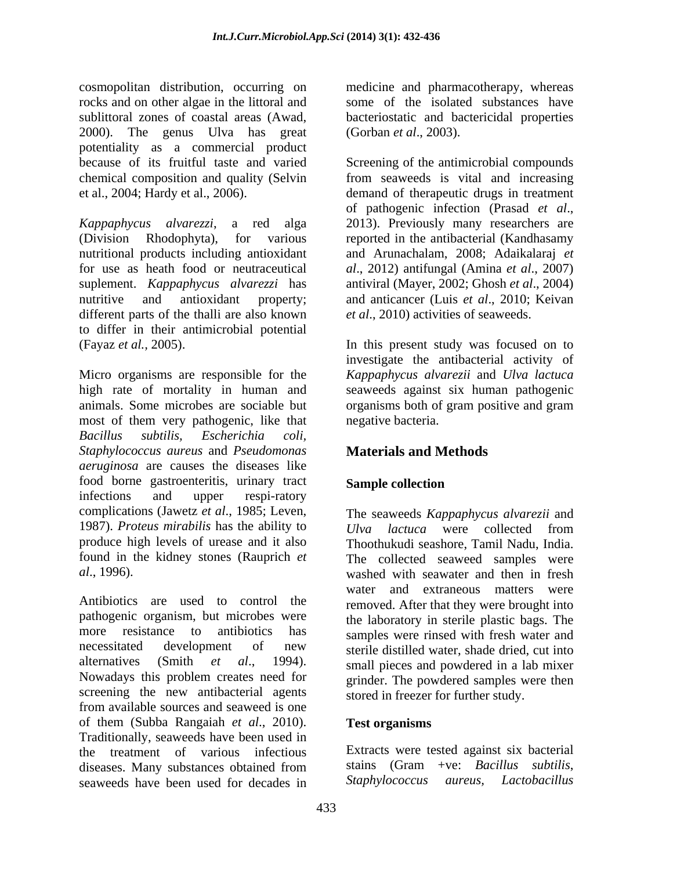cosmopolitan distribution, occurring on medicine and pharmacotherapy, whereas rocks and on other algae in the littoral and some of the isolated substances have sublittoral zones of coastal areas (Awad, bacteriostatic and bactericidal properties 2000). The genus Ulva has great (Gorban *et al.*, 2003). potentiality as a commercial product because of its fruitful taste and varied Screening of the antimicrobial compounds chemical composition and quality (Selvin from seaweeds is vital and increasing

*Kappaphycus alvarezzi*, a red alga (Division Rhodophyta), for various reported in the antibacterial (Kandhasamy nutritional products including antioxidant for use as heath food or neutraceutical *al*., 2012) antifungal (Amina *et al*., 2007) suplement. *Kappaphycus alvarezzi* has nutritive and antioxidant property; and anticancer (Luis *et al*., 2010; Keivan different parts of the thalli are also known to differ in their antimicrobial potential (Fayaz *et al.,* 2005). In this present study was focused on to

Micro organisms are responsible for the *Kappaphycus alvarezii* and *Ulva lactuca* high rate of mortality in human and seaweeds against six human pathogenic animals. Some microbes are sociable but most of them very pathogenic, like that *Bacillus subtilis, Escherichia coli, Staphylococcus aureus* and *Pseudomonas aeruginosa* are causes the diseases like food borne gastroenteritis, urinary tract Sample collection infections and upper respi-ratory complications (Jawetz *et al*., 1985; Leven, 1987). *Proteus mirabilis* has the ability to

Antibiotics are used to control the removed. After that they were brought into pathogenic organism, but microbes were more resistance to antibiotics has samples were rinsed with fresh water and necessitated development of new sterile distilled water, shade dried, cut into alternatives (Smith *et al.*, 1994). Small pieces and powdered in a lab mixer<br>Nowadays this problem creates need for stringer. The powdered samples were then screening the new antibacterial agents from available sources and seaweed is one of them (Subba Rangaiah *et al*., 2010). Traditionally, seaweeds have been used in the treatment of various infectious Extracts were tested against six bacterial<br>diseases Many substances obtained from stains (Gram +ve: Bacillus subtilis. diseases. Many substances obtained from stains (Gram +ve: *Bacillus subtilis,* seaweeds have been used for decades in Staphylococcus aureus, Lactobacillus seaweeds have been used for decades in

(Gorban *et al*., 2003).

et al., 2004; Hardy et al., 2006). demand of therapeutic drugs in treatment of pathogenic infection (Prasad *et al*., 2013). Previously many researchers are and Arunachalam, 2008; Adaikalaraj *et*  antiviral (Mayer, 2002; Ghosh *et al*., 2004) *et al*., 2010) activities of seaweeds.

> investigate the antibacterial activity of organisms both of gram positive and gram negative bacteria.

# **Materials and Methods**

## **Sample collection**

produce high levels of urease and it also Thoothukudi seashore, Tamil Nadu, India. found in the kidney stones (Rauprich *et*  The collected seaweed samples were *al*., 1996). washed with seawater and then in fresh The seaweeds *Kappaphycus alvarezii* and *Ulva lactuca* were collected from water and extraneous matters were the laboratory in sterile plastic bags. The small pieces and powdered in a lab mixer grinder. The powdered samples were then stored in freezer for further study.

### **Test organisms**

Extracts were tested against six bacterial stains (Gram +ve: *Bacillus subtilis*, *Staphylococcus aureus,*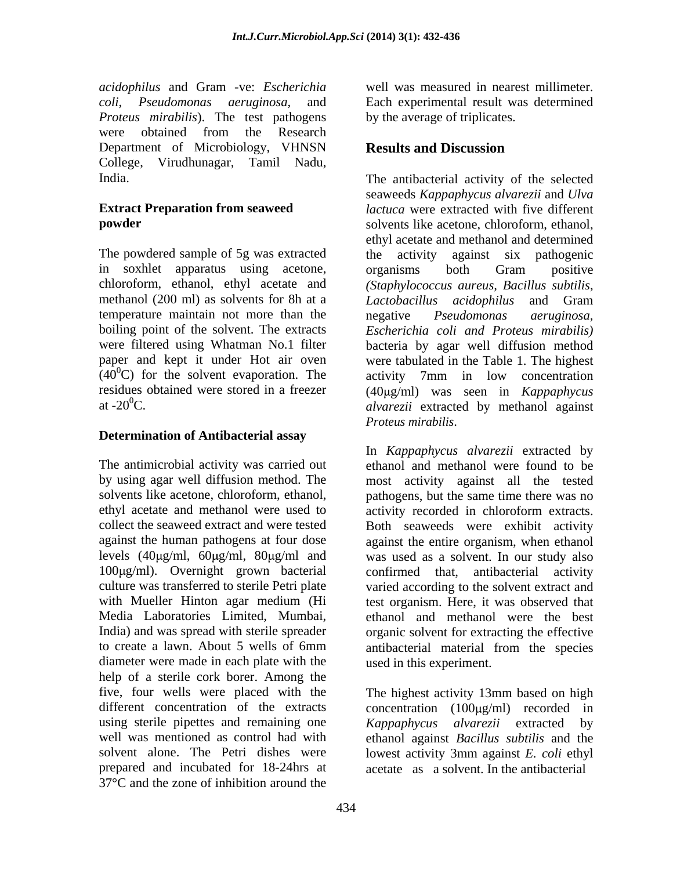*acidophilus* and Gram -ve: *Escherichia coli*, *Pseudomonas aeruginosa,* and *Proteus mirabilis*). The test pathogens were obtained from the Research Department of Microbiology, VHNSN **Results and Discussion** College, Virudhunagar, Tamil Nadu,

The powdered sample of 5g was extracted the activity against six pathogenic in soxhlet apparatus using acetone, temperature maintain not more than the negative *Pseudomonas aeruginosa*.  $(40^{\circ}$ C) for the solvent evaporation. The

### **Determination of Antibacterial assay**

The antimicrobial activity was carried out culture was transferred to sterile Petri plate Media Laboratories Limited, Mumbai, diameter were made in each plate with the help of a sterile cork borer. Among the using sterile pipettes and remaining one Kappaphycus alvarezii extracted by solvent alone. The Petri dishes were lowest activity 3mm against *E. coli* ethyl prepared and incubated for 18-24hrs at 37°C and the zone of inhibition around the

well was measured in nearest millimeter. Each experimental result was determined by the average of triplicates.

## **Results and Discussion**

India. The antibacterial activity of the selected **Extract Preparation from seaweed**  *lactuca* were extracted with five different **powder** solvents like acetone, chloroform, ethanol, chloroform, ethanol, ethyl acetate and *(Staphylococcus aureus, Bacillus subtilis*, methanol (200 ml) as solvents for 8h at a *Lactobacillus acidophilus* and Gram boiling point of the solvent. The extracts *Escherichia coli and Proteus mirabilis)*  were filtered using Whatman No.1 filter bacteria by agar well diffusion method paper and kept it under Hot air oven were tabulated in the Table 1. The highest residues obtained were stored in a freezer (40µg/ml) was seen in *Kappaphycus* at  $-20^0$ C.  $d\nu \vec{a}$  extracted by methanol against seaweeds *Kappaphycus alvarezii* and *Ulva*  ethyl acetate and methanol and determined the activity against six pathogenic organisms both Gram positive negative *Pseudomonas aeruginosa,* activity 7mm in low concentration

by using agar well diffusion method. The most activity against all the tested solvents like acetone, chloroform, ethanol, pathogens, but the same time there was no ethyl acetate and methanol were used to activity recorded in chloroform extracts. collect the seaweed extract and were tested Both seaweeds were exhibit activity against the human pathogens at four dose against the entire organism, when ethanol levels (40μg/ml, 60μg/ml, 80μg/ml and vas used as a solvent. In our study also 100µg/ml). Overnight grown bacterial confirmed that, antibacterial activity with Mueller Hinton agar medium (Hi test organism. Here, it was observed that India) and was spread with sterile spreader organic solvent for extracting the effective to create a lawn. About 5 wells of 6mm antibacterial material from the species *Proteus mirabilis*. In *Kappaphycus alvarezii* extracted by ethanol and methanol were found to be varied according to the solvent extract and ethanol and methanol were the best used in this experiment.

five, four wells were placed with the The highest activity 13mm based on high different concentration of the extracts concentration (100µg/ml) recorded in well was mentioned as control had with ethanol against *Bacillus subtilis* and the *Kappaphycus alvarezii* extracted by lowest activity 3mm against *E. coli* ethyl acetate as a solvent. In the antibacterial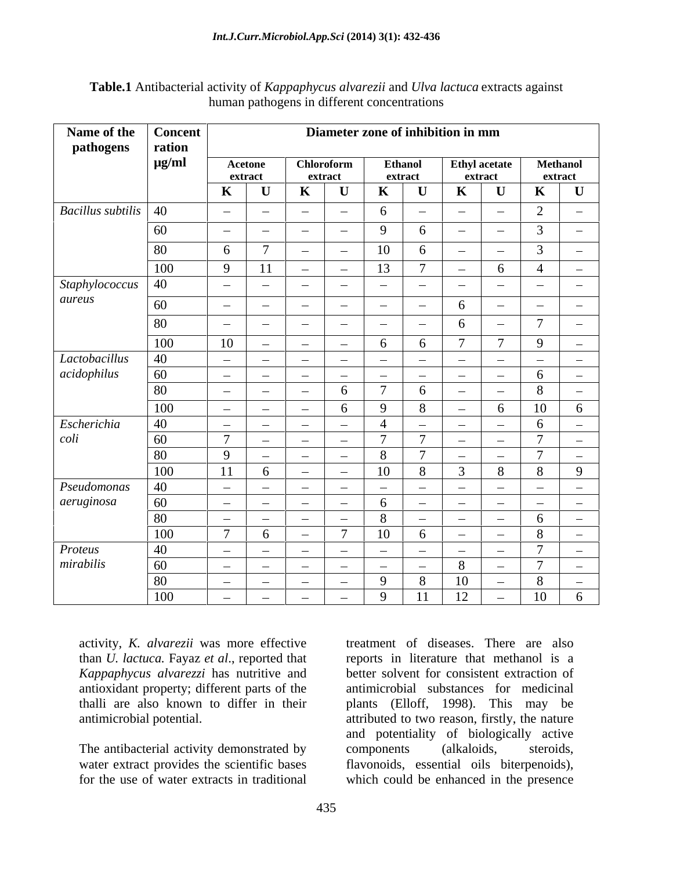| <b>Table.1</b> Antibacterial activity of<br>T 7 1<br>$\mu$ and $U'$<br><i>''wa lactuca</i> extracts against<br>it Kappaphycus alvarezu a |  |
|------------------------------------------------------------------------------------------------------------------------------------------|--|
| in different concent<br>ration<br>pathogens<br>าuman                                                                                     |  |

| Name of the Concent<br>pathogens     | ration           |                                             |                                                    |                                                                        | Diameter zone of inhibition in mm                                      |                                          |
|--------------------------------------|------------------|---------------------------------------------|----------------------------------------------------|------------------------------------------------------------------------|------------------------------------------------------------------------|------------------------------------------|
|                                      | $\mu$ g/ml       | Acetone                                     | Chloroform                                         | <b>Ethanol</b>                                                         | Ethyl acetate                                                          | Methanol                                 |
|                                      |                  | extract                                     | extract                                            | extract                                                                | extract                                                                | extract                                  |
|                                      |                  | $\mathbf{K}$                                | $\mathbf{K}$                                       | - K                                                                    | $\mathbf{U}$<br>$\bf K$                                                | $\mathbf K$<br>$\mathbf U$               |
| $\vert$ Bacillus subtilis $\vert$ 40 |                  | $\sim$<br><b>Contract Contract Contract</b> | $\sim$<br><b>Common Common</b>                     | $\overline{\phantom{0}}$                                               | $\sim$<br>$\sim$                                                       | $\sim$                                   |
|                                      | - 60             | $\sim$<br>$\sim$ $\sim$                     | $\sim$ $-$<br><b>Contract Contract Contract</b>    |                                                                        | $\sim$<br>$\sim$                                                       | $\overline{\phantom{a}}$                 |
|                                      |                  | - 6                                         | <b>Contract Contract</b><br><b>Common</b>          | $\overline{10}$                                                        | $\sim$<br><b>Contract Contract</b>                                     | $\sim$                                   |
|                                      |                  |                                             |                                                    |                                                                        |                                                                        |                                          |
|                                      | 100              | 9                                           | $\sim$<br>$\sim$                                   |                                                                        | 6<br>$\sim$                                                            | $\overline{\phantom{a}}$                 |
| Staphylococcus 40<br>aureus          |                  | $\sim$<br><b>Common</b>                     | $\sim$<br><b>Common</b>                            | <b>Common</b><br><b>Contract Contract Contract</b>                     | $\sim$ $-$<br>$\sim$ 100 $\sim$                                        | $\sim$<br>$\sim$                         |
|                                      | 60               | $\sim$<br>$\sim$ $\sim$                     | $\sim$ $-$<br>$\sim$                               | <b>Contract Contract Contract</b><br><b>Contract Contract Contract</b> | $\sim$<br>n.                                                           | $\sim$<br>$\overline{\phantom{0}}$       |
|                                      |                  | $\sim$<br><b>Contract Contract Contract</b> | <b>Contract Contract Contract</b><br><b>Common</b> | <b>Contract Contract Contract</b><br>$\sim$                            | - 6<br>$\sim$                                                          | $\sim$                                   |
|                                      | 100              | 10<br><b>Contract Contract Contract</b>     | $\sim$<br><b>Contract Contract Contract</b>        |                                                                        | $\overline{7}$                                                         | $\mathbf{Q}$<br>$\sim$                   |
| Lactobacillus                        | $\overline{40}$  | $\sim$<br><b>Contract Contract Contract</b> | <b>Contract Contract Contract</b><br>$\sim$ $-$    | <b>Contract Contract Street</b><br><b>Contract Contract Contract</b>   | $\sim$<br>$\sim$ 100 $\sim$                                            | $\sim$<br>$\sim$                         |
| acidophilus                          | 60               | $\sim$<br>$\sim$ $\sim$                     | $\sim$<br><b>Common</b>                            | <b>Common</b><br><b>Contract Contract Contract</b>                     | <b>Contract Contract Contract</b><br><b>Contract Contract Contract</b> | $\sim$<br>-6                             |
|                                      | l 80.            | $\sim$<br><b>Contract Contract Contract</b> | $\sim$                                             |                                                                        | $\sim$<br>$\sim$                                                       | $\frac{1}{2}$                            |
|                                      | 100              | $\sim$<br><b>Contract Contract Contract</b> | <b>Contract Contract Contract</b>                  |                                                                        | 6<br>$\sim$ $ \sim$                                                    | 10<br>6                                  |
| Escherichia                          | $ 40\rangle$     | $\sim$<br>$\sim$                            | $\sim$<br>$\sim$                                   | $\sim$                                                                 | $\sim$<br>$\sim$                                                       | $\equiv$                                 |
| coli                                 | $60^{\circ}$     | $\mathcal{L}$<br><b>Common Common</b>       | <b>Common</b><br><b>Contract Contract State</b>    |                                                                        | $\sim$ $-$<br>$\sim$ $-$                                               | $\sim$                                   |
|                                      | - 80             | -9<br><b>Common</b>                         | $\sim$ $-$<br><b>Contract Contract Contract</b>    |                                                                        | $\sim$<br><b>Contract Contract Contract</b>                            | $\sim$                                   |
|                                      | 100              | 11<br>h.                                    | $\sim$<br><b>Contract Contract State</b>           | 10                                                                     | 8                                                                      | 9                                        |
| Pseudomonas                          | 40               | $\sim$<br><b>Common</b>                     | $\sim$<br><b>Common</b>                            | $\overline{\phantom{0}}$                                               | $\sim$<br>$\sim$                                                       | $\sim$<br>$\sim$                         |
| aeruginosa                           | 60               | $\sim$<br>$\sim$                            | $\sim$<br><b>Contract Contract Contract</b>        | $\frac{1}{2}$                                                          | $\sim$<br>$\sim$                                                       | $\sim$<br>$\sim$                         |
|                                      | 80               | $\sim$<br>$\sim$ $-$                        | $\sim$<br><b>Contract Contract Contract</b>        | $\sim$                                                                 | $\sim$<br>$\sim$ $ \sim$                                               | <b>6</b><br>$\sim$                       |
|                                      | 100              | $\overline{7}$<br>-6                        | $\overline{7}$ $\overline{1}$<br>$\sim$            | $\overline{10}$<br>6                                                   | $\sim$ $-$<br>$\sim$                                                   | $\mathbf{R}$<br>$\overline{\phantom{a}}$ |
| Proteus                              | $\vert 40 \vert$ | $\sim$<br><b>Common</b>                     | <b>Common</b><br><b>Common</b>                     | $\sim$ $-$<br><b>Contract Contract Contract</b>                        | $\sim$ $-$<br><b>Contract Contract Contract</b>                        | $\sim$                                   |
| mirabilis                            | $\vert$ 60       | $\sim$<br><b>Common</b>                     | $\sim$ $-$<br>$\sim$ $-$                           | $\sim$ 100 $\sim$<br><b>Contract Contract Contract</b>                 | 8<br>$\sim$                                                            | $\sim$                                   |
|                                      | -80              | $\sim$<br><b>Contract Contract Street</b>   | $\sim$<br>$\sim$ $-$                               |                                                                        | <sup>10</sup><br>$\sim$ $ \sim$                                        | $\mathcal{R}$<br>$\sim$                  |
|                                      | 100              | $\sim$<br>$\sim$ $-$                        | $\sim$<br><b>Common</b>                            | $-11$<br>$\mathbf{Q}$                                                  | 12<br>$\overline{a}$                                                   | 10<br>6                                  |

activity, *K. alvarezii* was more effective than *U. lactuca.* Fayaz *et al*., reported that *Kappaphycus alvarezzi* has nutritive and

for the use of water extracts in traditional which could be enhanced in the presence

antioxidant property; different parts of the antimicrobial substances for medicinal thalli are also known to differ in their plants (Elloff, 1998). This may be antimicrobial potential. The same intervals attributed to two reason, firstly, the nature The antibacterial activity demonstrated by components (alkaloids, steroids, value of the scientific bases flavonoids, essential oils biterpenoids), water extract provides the scientific bases flavonoids, essential oils biterpenoids), treatment of diseases. There are also reports in literature that methanol is a better solvent for consistent extraction of and potentiality of biologically active components (alkaloids, steroids,